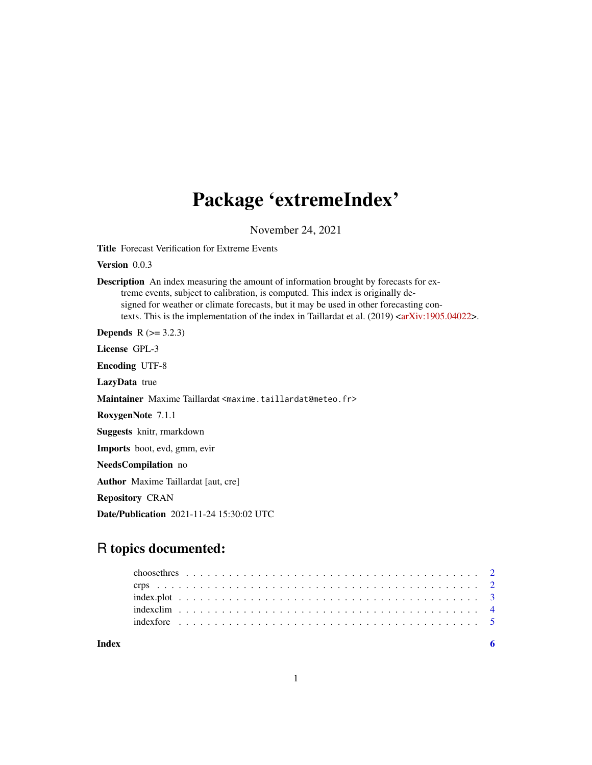# Package 'extremeIndex'

November 24, 2021

Title Forecast Verification for Extreme Events

Version 0.0.3

Description An index measuring the amount of information brought by forecasts for extreme events, subject to calibration, is computed. This index is originally designed for weather or climate forecasts, but it may be used in other forecasting contexts. This is the implementation of the index in Taillardat et al.  $(2019)  $\langle \text{arXiv}:1905.04022 \rangle$ .$ 

**Depends**  $R$  ( $>= 3.2.3$ )

License GPL-3

Encoding UTF-8

LazyData true

Maintainer Maxime Taillardat <maxime.taillardat@meteo.fr>

RoxygenNote 7.1.1

Suggests knitr, rmarkdown

Imports boot, evd, gmm, evir

NeedsCompilation no

Author Maxime Taillardat [aut, cre]

Repository CRAN

Date/Publication 2021-11-24 15:30:02 UTC

# R topics documented:

| Index |                                                                                                                          |  |  |  |  |  |  |  |  |  |  |  |  |  |  |  |  |  |  |  |  |
|-------|--------------------------------------------------------------------------------------------------------------------------|--|--|--|--|--|--|--|--|--|--|--|--|--|--|--|--|--|--|--|--|
|       |                                                                                                                          |  |  |  |  |  |  |  |  |  |  |  |  |  |  |  |  |  |  |  |  |
|       |                                                                                                                          |  |  |  |  |  |  |  |  |  |  |  |  |  |  |  |  |  |  |  |  |
|       | $index.plot \dots \dots \dots \dots \dots \dots \dots \dots \dots \dots \dots \dots \dots \dots \dots \dots \dots \dots$ |  |  |  |  |  |  |  |  |  |  |  |  |  |  |  |  |  |  |  |  |
|       |                                                                                                                          |  |  |  |  |  |  |  |  |  |  |  |  |  |  |  |  |  |  |  |  |
|       |                                                                                                                          |  |  |  |  |  |  |  |  |  |  |  |  |  |  |  |  |  |  |  |  |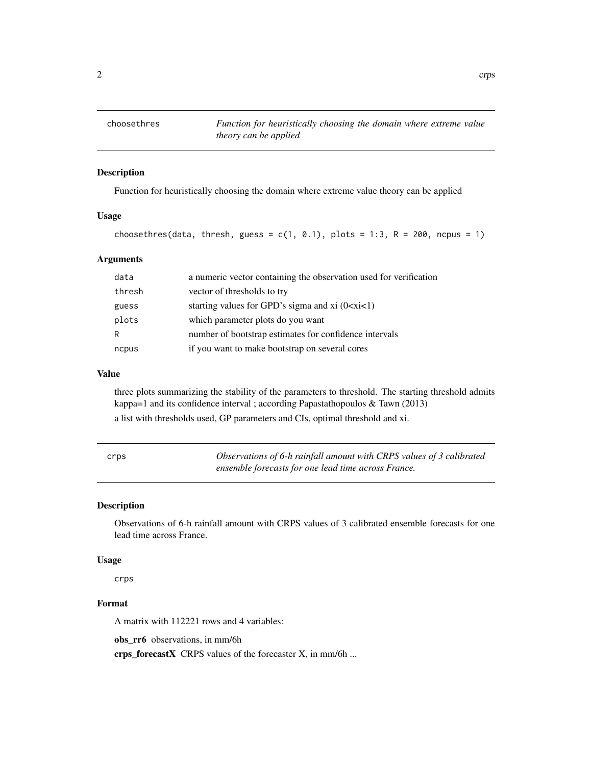<span id="page-1-0"></span>

## Description

Function for heuristically choosing the domain where extreme value theory can be applied

# Usage

```
choosethres(data, thresh, guess = c(1, 0.1), plots = 1:3, R = 200, ncpus = 1)
```
# Arguments

| data   | a numeric vector containing the observation used for verification |
|--------|-------------------------------------------------------------------|
| thresh | vector of thresholds to try                                       |
| guess  | starting values for GPD's sigma and $xi(0 < x < 1)$               |
| plots  | which parameter plots do you want                                 |
| R      | number of bootstrap estimates for confidence intervals            |
| ncpus  | if you want to make bootstrap on several cores                    |

# Value

three plots summarizing the stability of the parameters to threshold. The starting threshold admits kappa=1 and its confidence interval ; according Papastathopoulos & Tawn (2013)

a list with thresholds used, GP parameters and CIs, optimal threshold and xi.

| crps | Observations of 6-h rainfall amount with CRPS values of 3 calibrated |
|------|----------------------------------------------------------------------|
|      | ensemble forecasts for one lead time across France.                  |

# Description

Observations of 6-h rainfall amount with CRPS values of 3 calibrated ensemble forecasts for one lead time across France.

## Usage

crps

# Format

A matrix with 112221 rows and 4 variables:

obs rr6 observations, in mm/6h

crps\_forecastX CRPS values of the forecaster X, in mm/6h ...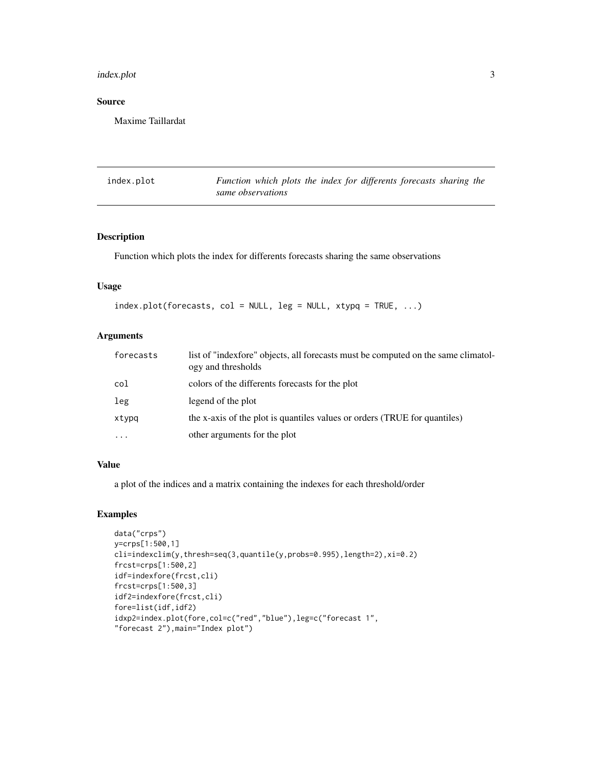#### <span id="page-2-0"></span>index.plot 3

# Source

Maxime Taillardat

| index.plot | Function which plots the index for differents forecasts sharing the |
|------------|---------------------------------------------------------------------|
|            | same observations                                                   |

# Description

Function which plots the index for differents forecasts sharing the same observations

# Usage

```
index.plot(forecasts, col = NULL, leg = NULL, xtype = TRUE, ...)
```
# Arguments

| forecasts  | list of "indexfore" objects, all forecasts must be computed on the same climatol-<br>ogy and thresholds |
|------------|---------------------------------------------------------------------------------------------------------|
| col        | colors of the differents forecasts for the plot                                                         |
| leg        | legend of the plot                                                                                      |
| xtypg      | the x-axis of the plot is quantiles values or orders (TRUE for quantiles)                               |
| $\ddots$ . | other arguments for the plot                                                                            |

# Value

a plot of the indices and a matrix containing the indexes for each threshold/order

# Examples

```
data("crps")
y=crps[1:500,1]
cli=indexclim(y,thresh=seq(3,quantile(y,probs=0.995),length=2),xi=0.2)
frcst=crps[1:500,2]
idf=indexfore(frcst,cli)
frcst=crps[1:500,3]
idf2=indexfore(frcst,cli)
fore=list(idf,idf2)
idxp2=index.plot(fore,col=c("red","blue"),leg=c("forecast 1",
"forecast 2"),main="Index plot")
```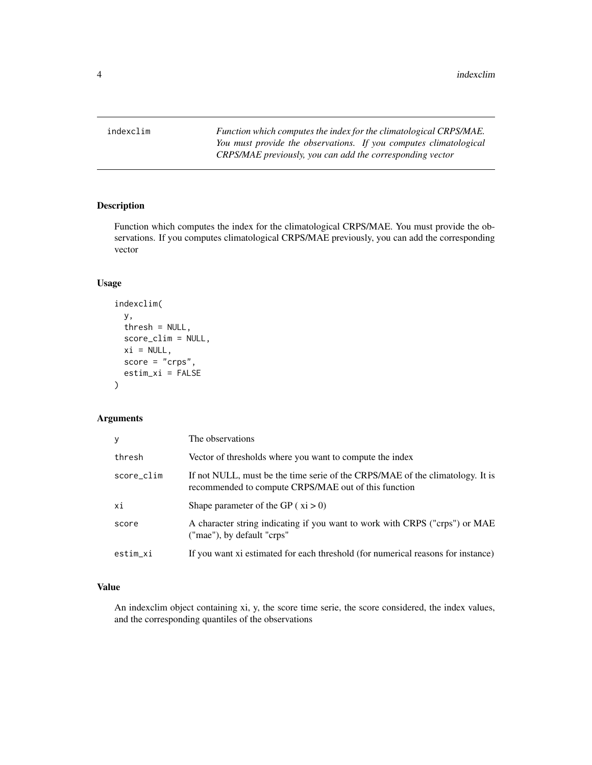<span id="page-3-0"></span>indexclim *Function which computes the index for the climatological CRPS/MAE. You must provide the observations. If you computes climatological CRPS/MAE previously, you can add the corresponding vector*

# Description

Function which computes the index for the climatological CRPS/MAE. You must provide the observations. If you computes climatological CRPS/MAE previously, you can add the corresponding vector

# Usage

```
indexclim(
 y,
 thresh = NULL,score_clim = NULL,
 xi = NULL,score = "crys",estim_xi = FALSE
)
```
# Arguments

| У          | The observations                                                                                                                      |
|------------|---------------------------------------------------------------------------------------------------------------------------------------|
| thresh     | Vector of thresholds where you want to compute the index                                                                              |
| score_clim | If not NULL, must be the time serie of the CRPS/MAE of the climatology. It is<br>recommended to compute CRPS/MAE out of this function |
| хi         | Shape parameter of the GP $(xi > 0)$                                                                                                  |
| score      | A character string indicating if you want to work with CRPS ("crps") or MAE<br>("mae"), by default "crps"                             |
| estim_xi   | If you want xi estimated for each threshold (for numerical reasons for instance)                                                      |

# Value

An indexclim object containing xi, y, the score time serie, the score considered, the index values, and the corresponding quantiles of the observations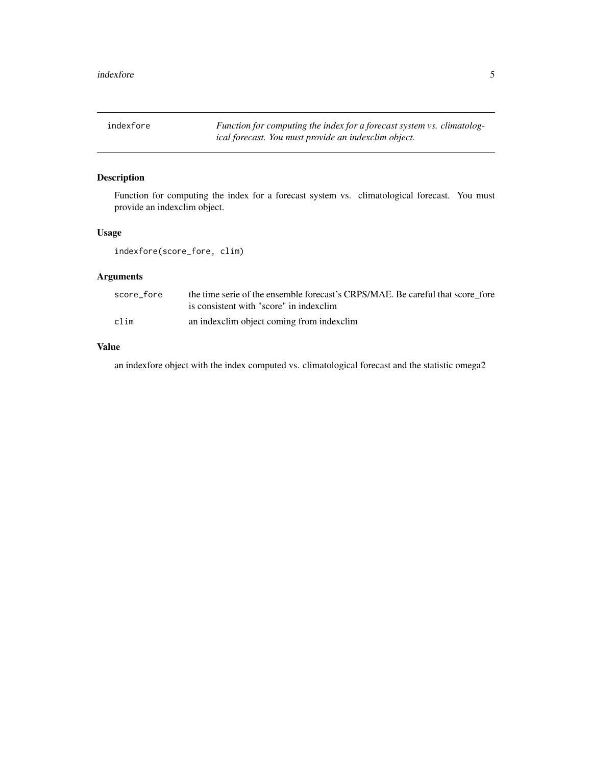<span id="page-4-0"></span>indexfore *Function for computing the index for a forecast system vs. climatological forecast. You must provide an indexclim object.*

# Description

Function for computing the index for a forecast system vs. climatological forecast. You must provide an indexclim object.

# Usage

indexfore(score\_fore, clim)

# Arguments

| score fore | the time serie of the ensemble forecast's CRPS/MAE. Be careful that score fore |
|------------|--------------------------------------------------------------------------------|
|            | is consistent with "score" in indexclim                                        |
| clim       | an indexclim object coming from indexclim                                      |

# Value

an indexfore object with the index computed vs. climatological forecast and the statistic omega2